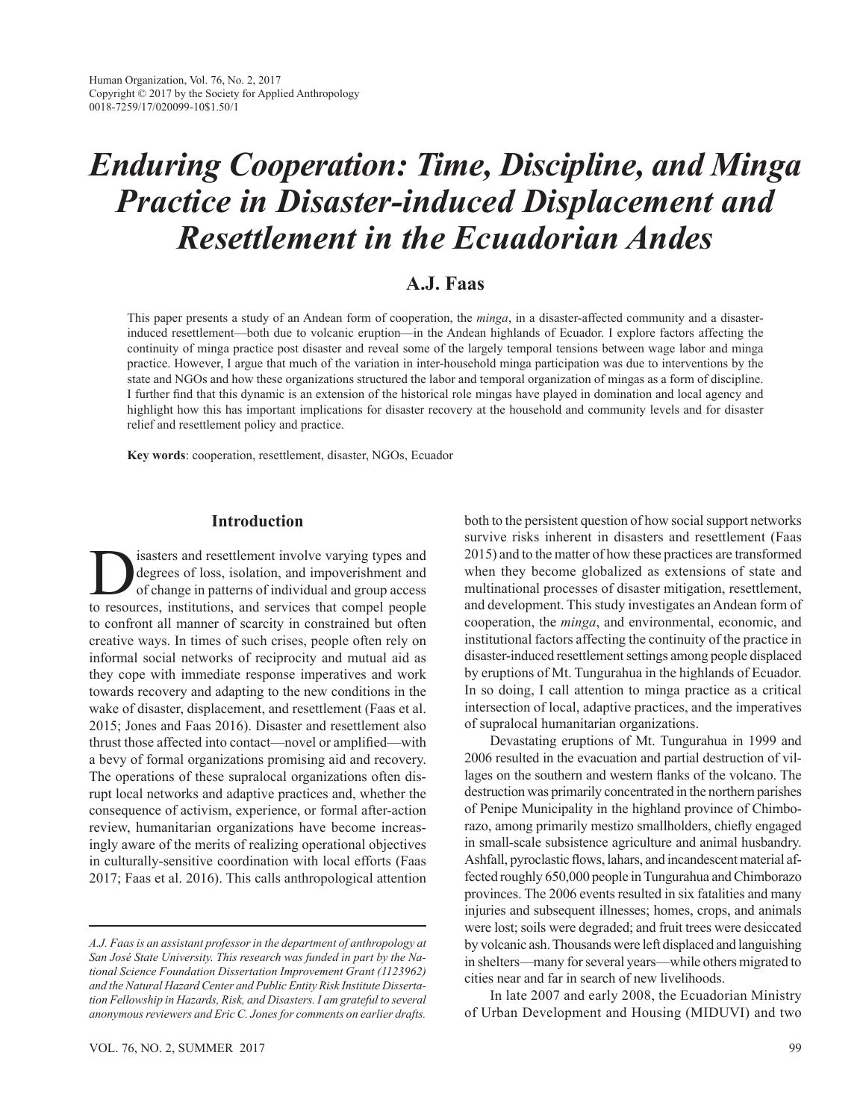# *Enduring Cooperation: Time, Discipline, and Minga Practice in Disaster-induced Displacement and Resettlement in the Ecuadorian Andes*

# **A.J. Faas**

This paper presents a study of an Andean form of cooperation, the *minga*, in a disaster-affected community and a disasterinduced resettlement—both due to volcanic eruption—in the Andean highlands of Ecuador. I explore factors affecting the continuity of minga practice post disaster and reveal some of the largely temporal tensions between wage labor and minga practice. However, I argue that much of the variation in inter-household minga participation was due to interventions by the state and NGOs and how these organizations structured the labor and temporal organization of mingas as a form of discipline. I further find that this dynamic is an extension of the historical role mingas have played in domination and local agency and highlight how this has important implications for disaster recovery at the household and community levels and for disaster relief and resettlement policy and practice.

**Key words**: cooperation, resettlement, disaster, NGOs, Ecuador

## **Introduction**

**1988** isasters and resettlement involve varying types and degrees of loss, isolation, and impoverishment and of change in patterns of individual and group access to resources institutions and services that compel people degrees of loss, isolation, and impoverishment and of change in patterns of individual and group access to resources, institutions, and services that compel people to confront all manner of scarcity in constrained but often creative ways. In times of such crises, people often rely on informal social networks of reciprocity and mutual aid as they cope with immediate response imperatives and work towards recovery and adapting to the new conditions in the wake of disaster, displacement, and resettlement (Faas et al. 2015; Jones and Faas 2016). Disaster and resettlement also thrust those affected into contact—novel or amplified—with a bevy of formal organizations promising aid and recovery. The operations of these supralocal organizations often disrupt local networks and adaptive practices and, whether the consequence of activism, experience, or formal after-action review, humanitarian organizations have become increasingly aware of the merits of realizing operational objectives in culturally-sensitive coordination with local efforts (Faas 2017; Faas et al. 2016). This calls anthropological attention

*A.J. Faas is an assistant professor in the department of anthropology at San José State University. This research was funded in part by the National Science Foundation Dissertation Improvement Grant (1123962) and the Natural Hazard Center and Public Entity Risk Institute Dissertation Fellowship in Hazards, Risk, and Disasters. I am grateful to several anonymous reviewers and Eric C. Jones for comments on earlier drafts.*

both to the persistent question of how social support networks survive risks inherent in disasters and resettlement (Faas 2015) and to the matter of how these practices are transformed when they become globalized as extensions of state and multinational processes of disaster mitigation, resettlement, and development. This study investigates an Andean form of cooperation, the *minga*, and environmental, economic, and institutional factors affecting the continuity of the practice in disaster-induced resettlement settings among people displaced by eruptions of Mt. Tungurahua in the highlands of Ecuador. In so doing, I call attention to minga practice as a critical intersection of local, adaptive practices, and the imperatives of supralocal humanitarian organizations.

Devastating eruptions of Mt. Tungurahua in 1999 and 2006 resulted in the evacuation and partial destruction of villages on the southern and western flanks of the volcano. The destruction was primarily concentrated in the northern parishes of Penipe Municipality in the highland province of Chimborazo, among primarily mestizo smallholders, chiefly engaged in small-scale subsistence agriculture and animal husbandry. Ashfall, pyroclastic flows, lahars, and incandescent material affected roughly 650,000 people in Tungurahua and Chimborazo provinces. The 2006 events resulted in six fatalities and many injuries and subsequent illnesses; homes, crops, and animals were lost; soils were degraded; and fruit trees were desiccated by volcanic ash. Thousands were left displaced and languishing in shelters—many for several years—while others migrated to cities near and far in search of new livelihoods.

In late 2007 and early 2008, the Ecuadorian Ministry of Urban Development and Housing (MIDUVI) and two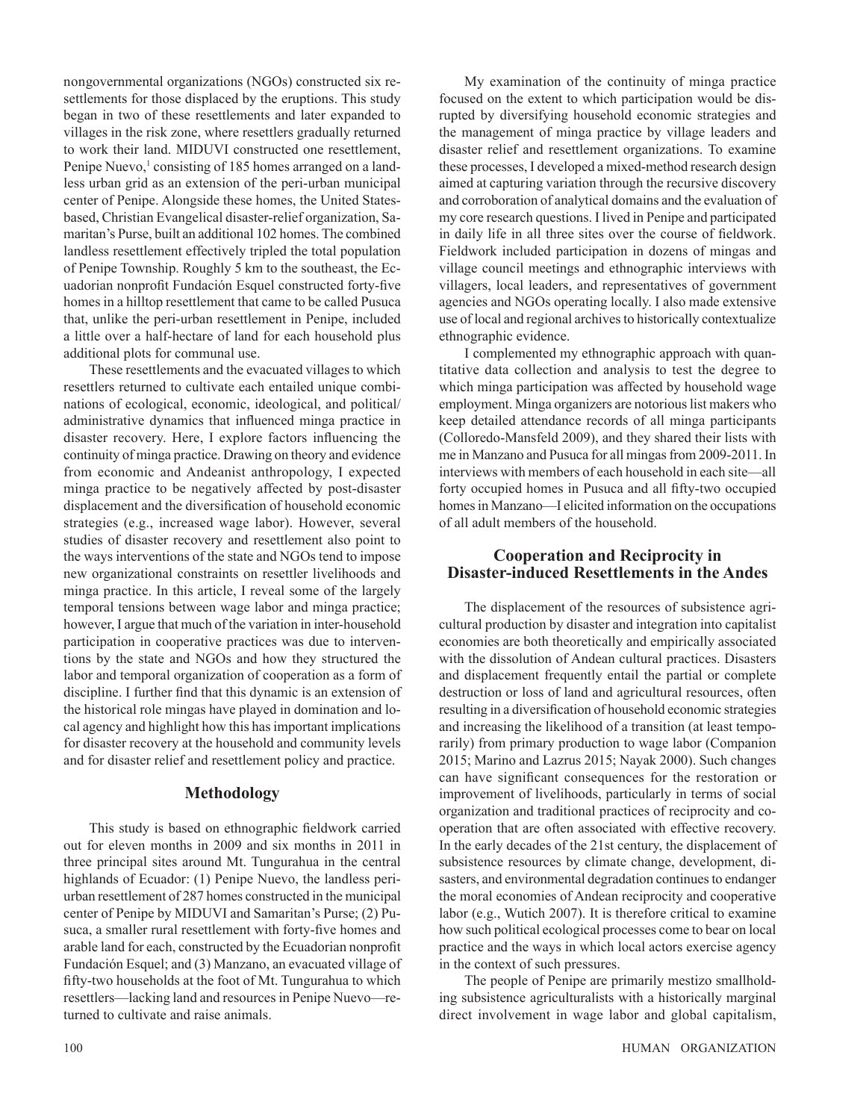nongovernmental organizations (NGOs) constructed six resettlements for those displaced by the eruptions. This study began in two of these resettlements and later expanded to villages in the risk zone, where resettlers gradually returned to work their land. MIDUVI constructed one resettlement, Penipe Nuevo,<sup>1</sup> consisting of 185 homes arranged on a landless urban grid as an extension of the peri-urban municipal center of Penipe. Alongside these homes, the United Statesbased, Christian Evangelical disaster-relief organization, Samaritan's Purse, built an additional 102 homes. The combined landless resettlement effectively tripled the total population of Penipe Township. Roughly 5 km to the southeast, the Ecuadorian nonprofit Fundación Esquel constructed forty-five homes in a hilltop resettlement that came to be called Pusuca that, unlike the peri-urban resettlement in Penipe, included a little over a half-hectare of land for each household plus additional plots for communal use.

These resettlements and the evacuated villages to which resettlers returned to cultivate each entailed unique combinations of ecological, economic, ideological, and political/ administrative dynamics that influenced minga practice in disaster recovery. Here, I explore factors influencing the continuity of minga practice. Drawing on theory and evidence from economic and Andeanist anthropology, I expected minga practice to be negatively affected by post-disaster displacement and the diversification of household economic strategies (e.g., increased wage labor). However, several studies of disaster recovery and resettlement also point to the ways interventions of the state and NGOs tend to impose new organizational constraints on resettler livelihoods and minga practice. In this article, I reveal some of the largely temporal tensions between wage labor and minga practice; however, I argue that much of the variation in inter-household participation in cooperative practices was due to interventions by the state and NGOs and how they structured the labor and temporal organization of cooperation as a form of discipline. I further find that this dynamic is an extension of the historical role mingas have played in domination and local agency and highlight how this has important implications for disaster recovery at the household and community levels and for disaster relief and resettlement policy and practice.

## **Methodology**

This study is based on ethnographic fieldwork carried out for eleven months in 2009 and six months in 2011 in three principal sites around Mt. Tungurahua in the central highlands of Ecuador: (1) Penipe Nuevo, the landless periurban resettlement of 287 homes constructed in the municipal center of Penipe by MIDUVI and Samaritan's Purse; (2) Pusuca, a smaller rural resettlement with forty-five homes and arable land for each, constructed by the Ecuadorian nonprofit Fundación Esquel; and (3) Manzano, an evacuated village of fifty-two households at the foot of Mt. Tungurahua to which resettlers—lacking land and resources in Penipe Nuevo—returned to cultivate and raise animals.

My examination of the continuity of minga practice focused on the extent to which participation would be disrupted by diversifying household economic strategies and the management of minga practice by village leaders and disaster relief and resettlement organizations. To examine these processes, I developed a mixed-method research design aimed at capturing variation through the recursive discovery and corroboration of analytical domains and the evaluation of my core research questions. I lived in Penipe and participated in daily life in all three sites over the course of fieldwork. Fieldwork included participation in dozens of mingas and village council meetings and ethnographic interviews with villagers, local leaders, and representatives of government agencies and NGOs operating locally. I also made extensive use of local and regional archives to historically contextualize ethnographic evidence.

I complemented my ethnographic approach with quantitative data collection and analysis to test the degree to which minga participation was affected by household wage employment. Minga organizers are notorious list makers who keep detailed attendance records of all minga participants (Colloredo-Mansfeld 2009), and they shared their lists with me in Manzano and Pusuca for all mingas from 2009-2011. In interviews with members of each household in each site—all forty occupied homes in Pusuca and all fifty-two occupied homes in Manzano—I elicited information on the occupations of all adult members of the household.

# **Cooperation and Reciprocity in Disaster-induced Resettlements in the Andes**

The displacement of the resources of subsistence agricultural production by disaster and integration into capitalist economies are both theoretically and empirically associated with the dissolution of Andean cultural practices. Disasters and displacement frequently entail the partial or complete destruction or loss of land and agricultural resources, often resulting in a diversification of household economic strategies and increasing the likelihood of a transition (at least temporarily) from primary production to wage labor (Companion 2015; Marino and Lazrus 2015; Nayak 2000). Such changes can have significant consequences for the restoration or improvement of livelihoods, particularly in terms of social organization and traditional practices of reciprocity and cooperation that are often associated with effective recovery. In the early decades of the 21st century, the displacement of subsistence resources by climate change, development, disasters, and environmental degradation continues to endanger the moral economies of Andean reciprocity and cooperative labor (e.g., Wutich 2007). It is therefore critical to examine how such political ecological processes come to bear on local practice and the ways in which local actors exercise agency in the context of such pressures.

The people of Penipe are primarily mestizo smallholding subsistence agriculturalists with a historically marginal direct involvement in wage labor and global capitalism,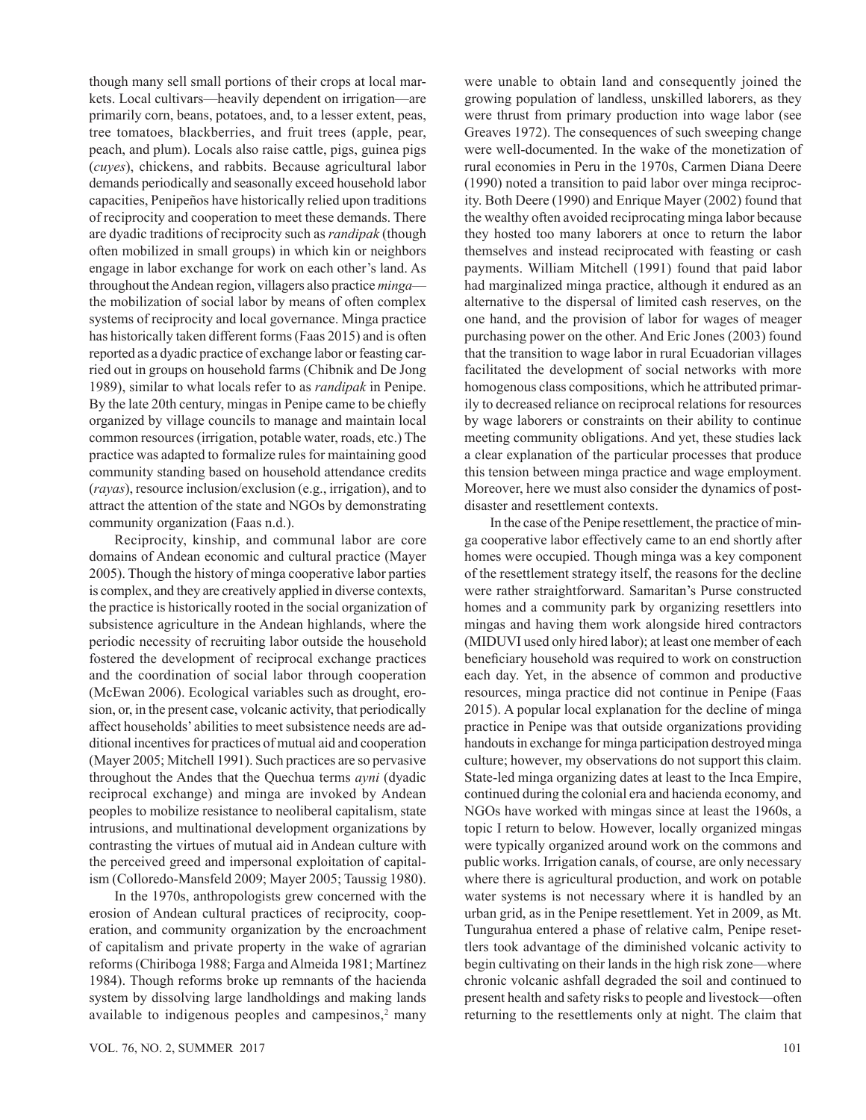though many sell small portions of their crops at local markets. Local cultivars—heavily dependent on irrigation—are primarily corn, beans, potatoes, and, to a lesser extent, peas, tree tomatoes, blackberries, and fruit trees (apple, pear, peach, and plum). Locals also raise cattle, pigs, guinea pigs (*cuyes*), chickens, and rabbits. Because agricultural labor demands periodically and seasonally exceed household labor capacities, Penipeños have historically relied upon traditions of reciprocity and cooperation to meet these demands. There are dyadic traditions of reciprocity such as *randipak* (though often mobilized in small groups) in which kin or neighbors engage in labor exchange for work on each other's land. As throughout the Andean region, villagers also practice *minga* the mobilization of social labor by means of often complex systems of reciprocity and local governance. Minga practice has historically taken different forms (Faas 2015) and is often reported as a dyadic practice of exchange labor or feasting carried out in groups on household farms (Chibnik and De Jong 1989), similar to what locals refer to as *randipak* in Penipe. By the late 20th century, mingas in Penipe came to be chiefly organized by village councils to manage and maintain local common resources (irrigation, potable water, roads, etc.) The practice was adapted to formalize rules for maintaining good community standing based on household attendance credits (*rayas*), resource inclusion/exclusion (e.g., irrigation), and to attract the attention of the state and NGOs by demonstrating community organization (Faas n.d.).

Reciprocity, kinship, and communal labor are core domains of Andean economic and cultural practice (Mayer 2005). Though the history of minga cooperative labor parties is complex, and they are creatively applied in diverse contexts, the practice is historically rooted in the social organization of subsistence agriculture in the Andean highlands, where the periodic necessity of recruiting labor outside the household fostered the development of reciprocal exchange practices and the coordination of social labor through cooperation (McEwan 2006). Ecological variables such as drought, erosion, or, in the present case, volcanic activity, that periodically affect households' abilities to meet subsistence needs are additional incentives for practices of mutual aid and cooperation (Mayer 2005; Mitchell 1991). Such practices are so pervasive throughout the Andes that the Quechua terms *ayni* (dyadic reciprocal exchange) and minga are invoked by Andean peoples to mobilize resistance to neoliberal capitalism, state intrusions, and multinational development organizations by contrasting the virtues of mutual aid in Andean culture with the perceived greed and impersonal exploitation of capitalism (Colloredo-Mansfeld 2009; Mayer 2005; Taussig 1980).

In the 1970s, anthropologists grew concerned with the erosion of Andean cultural practices of reciprocity, cooperation, and community organization by the encroachment of capitalism and private property in the wake of agrarian reforms (Chiriboga 1988; Farga and Almeida 1981; Martínez 1984). Though reforms broke up remnants of the hacienda system by dissolving large landholdings and making lands available to indigenous peoples and campesinos,<sup>2</sup> many were unable to obtain land and consequently joined the growing population of landless, unskilled laborers, as they were thrust from primary production into wage labor (see Greaves 1972). The consequences of such sweeping change were well-documented. In the wake of the monetization of rural economies in Peru in the 1970s, Carmen Diana Deere (1990) noted a transition to paid labor over minga reciprocity. Both Deere (1990) and Enrique Mayer (2002) found that the wealthy often avoided reciprocating minga labor because they hosted too many laborers at once to return the labor themselves and instead reciprocated with feasting or cash payments. William Mitchell (1991) found that paid labor had marginalized minga practice, although it endured as an alternative to the dispersal of limited cash reserves, on the one hand, and the provision of labor for wages of meager purchasing power on the other. And Eric Jones (2003) found that the transition to wage labor in rural Ecuadorian villages facilitated the development of social networks with more homogenous class compositions, which he attributed primarily to decreased reliance on reciprocal relations for resources by wage laborers or constraints on their ability to continue meeting community obligations. And yet, these studies lack a clear explanation of the particular processes that produce this tension between minga practice and wage employment. Moreover, here we must also consider the dynamics of postdisaster and resettlement contexts.

In the case of the Penipe resettlement, the practice of minga cooperative labor effectively came to an end shortly after homes were occupied. Though minga was a key component of the resettlement strategy itself, the reasons for the decline were rather straightforward. Samaritan's Purse constructed homes and a community park by organizing resettlers into mingas and having them work alongside hired contractors (MIDUVI used only hired labor); at least one member of each beneficiary household was required to work on construction each day. Yet, in the absence of common and productive resources, minga practice did not continue in Penipe (Faas 2015). A popular local explanation for the decline of minga practice in Penipe was that outside organizations providing handouts in exchange for minga participation destroyed minga culture; however, my observations do not support this claim. State-led minga organizing dates at least to the Inca Empire, continued during the colonial era and hacienda economy, and NGOs have worked with mingas since at least the 1960s, a topic I return to below. However, locally organized mingas were typically organized around work on the commons and public works. Irrigation canals, of course, are only necessary where there is agricultural production, and work on potable water systems is not necessary where it is handled by an urban grid, as in the Penipe resettlement. Yet in 2009, as Mt. Tungurahua entered a phase of relative calm, Penipe resettlers took advantage of the diminished volcanic activity to begin cultivating on their lands in the high risk zone—where chronic volcanic ashfall degraded the soil and continued to present health and safety risks to people and livestock—often returning to the resettlements only at night. The claim that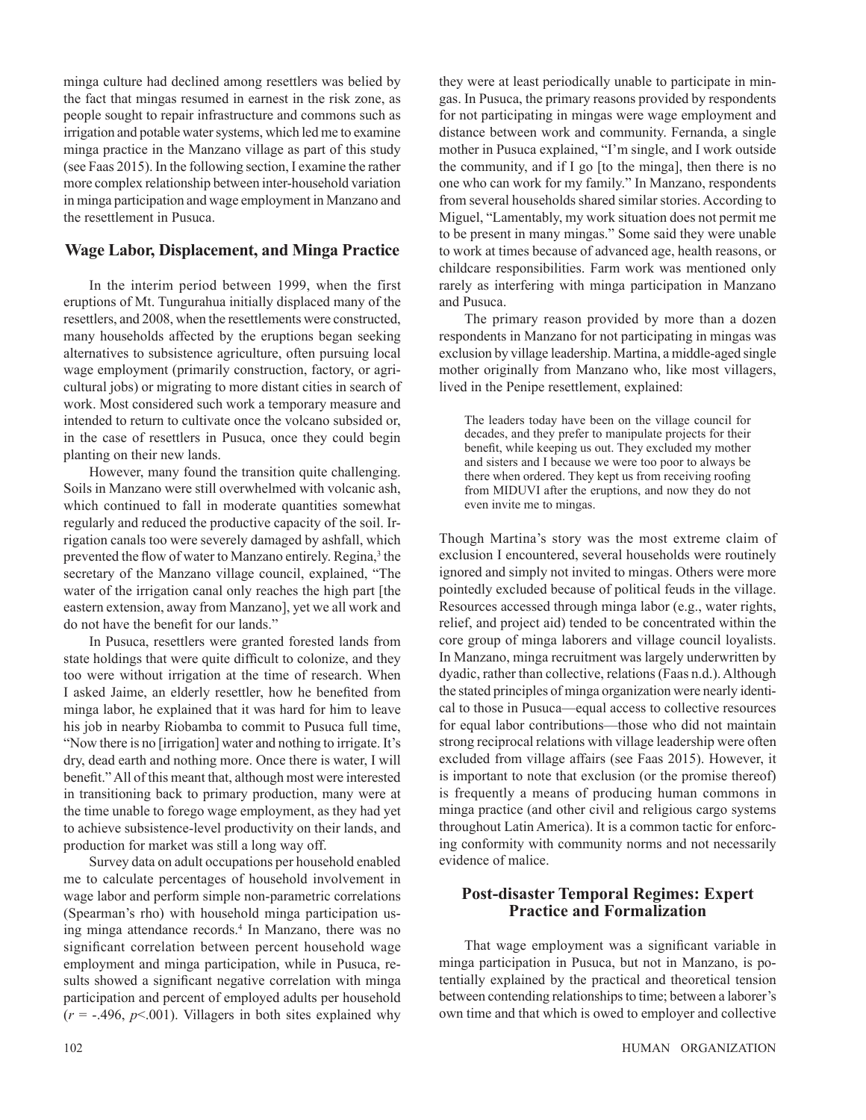minga culture had declined among resettlers was belied by the fact that mingas resumed in earnest in the risk zone, as people sought to repair infrastructure and commons such as irrigation and potable water systems, which led me to examine minga practice in the Manzano village as part of this study (see Faas 2015). In the following section, I examine the rather more complex relationship between inter-household variation in minga participation and wage employment in Manzano and the resettlement in Pusuca.

# **Wage Labor, Displacement, and Minga Practice**

In the interim period between 1999, when the first eruptions of Mt. Tungurahua initially displaced many of the resettlers, and 2008, when the resettlements were constructed, many households affected by the eruptions began seeking alternatives to subsistence agriculture, often pursuing local wage employment (primarily construction, factory, or agricultural jobs) or migrating to more distant cities in search of work. Most considered such work a temporary measure and intended to return to cultivate once the volcano subsided or, in the case of resettlers in Pusuca, once they could begin planting on their new lands.

However, many found the transition quite challenging. Soils in Manzano were still overwhelmed with volcanic ash, which continued to fall in moderate quantities somewhat regularly and reduced the productive capacity of the soil. Irrigation canals too were severely damaged by ashfall, which prevented the flow of water to Manzano entirely. Regina,<sup>3</sup> the secretary of the Manzano village council, explained, "The water of the irrigation canal only reaches the high part [the eastern extension, away from Manzano], yet we all work and do not have the benefit for our lands."

In Pusuca, resettlers were granted forested lands from state holdings that were quite difficult to colonize, and they too were without irrigation at the time of research. When I asked Jaime, an elderly resettler, how he benefited from minga labor, he explained that it was hard for him to leave his job in nearby Riobamba to commit to Pusuca full time, "Now there is no [irrigation] water and nothing to irrigate. It's dry, dead earth and nothing more. Once there is water, I will benefit." All of this meant that, although most were interested in transitioning back to primary production, many were at the time unable to forego wage employment, as they had yet to achieve subsistence-level productivity on their lands, and production for market was still a long way off.

Survey data on adult occupations per household enabled me to calculate percentages of household involvement in wage labor and perform simple non-parametric correlations (Spearman's rho) with household minga participation using minga attendance records.<sup>4</sup> In Manzano, there was no significant correlation between percent household wage employment and minga participation, while in Pusuca, results showed a significant negative correlation with minga participation and percent of employed adults per household  $(r = -0.496, p < 0.001)$ . Villagers in both sites explained why

they were at least periodically unable to participate in mingas. In Pusuca, the primary reasons provided by respondents for not participating in mingas were wage employment and distance between work and community. Fernanda, a single mother in Pusuca explained, "I'm single, and I work outside the community, and if I go [to the minga], then there is no one who can work for my family." In Manzano, respondents from several households shared similar stories. According to Miguel, "Lamentably, my work situation does not permit me to be present in many mingas." Some said they were unable to work at times because of advanced age, health reasons, or childcare responsibilities. Farm work was mentioned only rarely as interfering with minga participation in Manzano and Pusuca.

The primary reason provided by more than a dozen respondents in Manzano for not participating in mingas was exclusion by village leadership. Martina, a middle-aged single mother originally from Manzano who, like most villagers, lived in the Penipe resettlement, explained:

The leaders today have been on the village council for decades, and they prefer to manipulate projects for their benefit, while keeping us out. They excluded my mother and sisters and I because we were too poor to always be there when ordered. They kept us from receiving roofing from MIDUVI after the eruptions, and now they do not even invite me to mingas.

Though Martina's story was the most extreme claim of exclusion I encountered, several households were routinely ignored and simply not invited to mingas. Others were more pointedly excluded because of political feuds in the village. Resources accessed through minga labor (e.g., water rights, relief, and project aid) tended to be concentrated within the core group of minga laborers and village council loyalists. In Manzano, minga recruitment was largely underwritten by dyadic, rather than collective, relations (Faas n.d.). Although the stated principles of minga organization were nearly identical to those in Pusuca—equal access to collective resources for equal labor contributions—those who did not maintain strong reciprocal relations with village leadership were often excluded from village affairs (see Faas 2015). However, it is important to note that exclusion (or the promise thereof) is frequently a means of producing human commons in minga practice (and other civil and religious cargo systems throughout Latin America). It is a common tactic for enforcing conformity with community norms and not necessarily evidence of malice.

# **Post-disaster Temporal Regimes: Expert Practice and Formalization**

That wage employment was a significant variable in minga participation in Pusuca, but not in Manzano, is potentially explained by the practical and theoretical tension between contending relationships to time; between a laborer's own time and that which is owed to employer and collective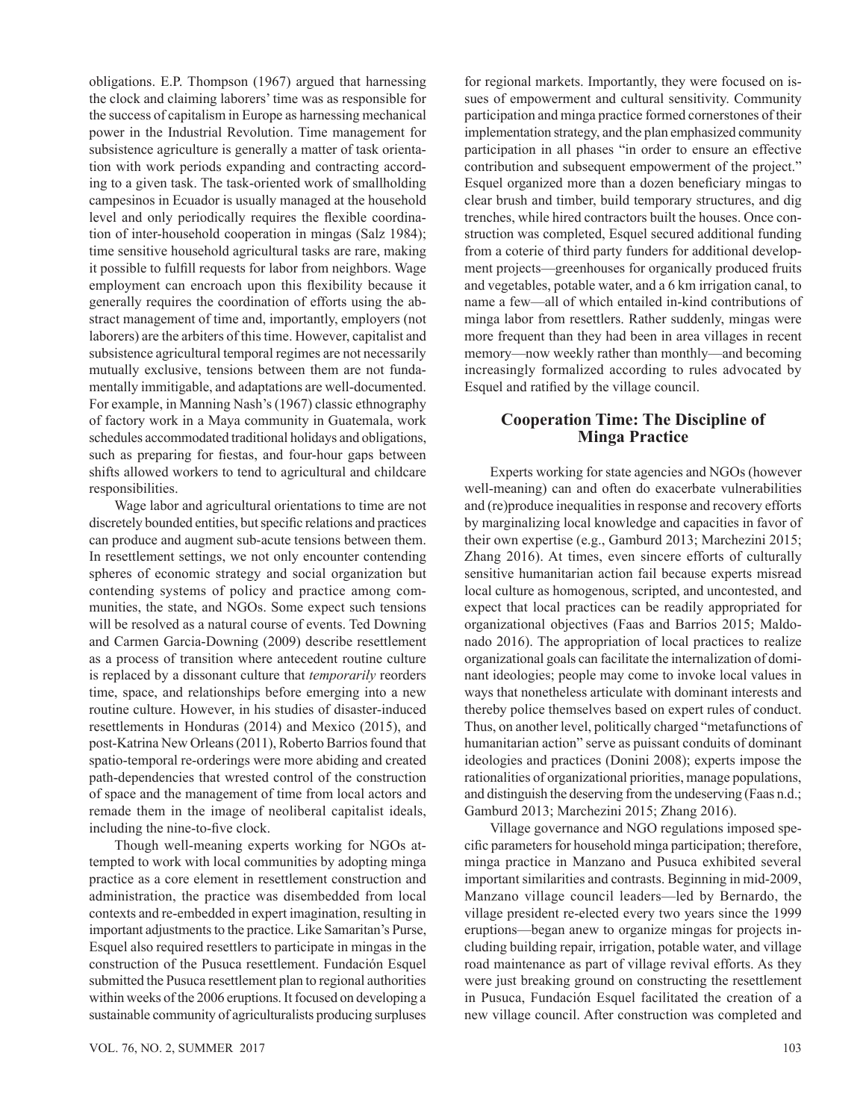For example, in Manning Nash's (1967) classic ethnography of factory work in a Maya community in Guatemala, work schedules accommodated traditional holidays and obligations, such as preparing for fiestas, and four-hour gaps between shifts allowed workers to tend to agricultural and childcare responsibilities. Wage labor and agricultural orientations to time are not discretely bounded entities, but specific relations and practices can produce and augment sub-acute tensions between them. In resettlement settings, we not only encounter contending spheres of economic strategy and social organization but contending systems of policy and practice among communities, the state, and NGOs. Some expect such tensions will be resolved as a natural course of events. Ted Downing and Carmen Garcia-Downing (2009) describe resettlement as a process of transition where antecedent routine culture is replaced by a dissonant culture that *temporarily* reorders time, space, and relationships before emerging into a new routine culture. However, in his studies of disaster-induced resettlements in Honduras (2014) and Mexico (2015), and

post-Katrina New Orleans (2011), Roberto Barrios found that spatio-temporal re-orderings were more abiding and created path-dependencies that wrested control of the construction of space and the management of time from local actors and remade them in the image of neoliberal capitalist ideals, including the nine-to-five clock.

obligations. E.P. Thompson (1967) argued that harnessing the clock and claiming laborers' time was as responsible for the success of capitalism in Europe as harnessing mechanical power in the Industrial Revolution. Time management for subsistence agriculture is generally a matter of task orientation with work periods expanding and contracting according to a given task. The task-oriented work of smallholding campesinos in Ecuador is usually managed at the household level and only periodically requires the flexible coordination of inter-household cooperation in mingas (Salz 1984); time sensitive household agricultural tasks are rare, making it possible to fulfill requests for labor from neighbors. Wage employment can encroach upon this flexibility because it generally requires the coordination of efforts using the abstract management of time and, importantly, employers (not laborers) are the arbiters of this time. However, capitalist and subsistence agricultural temporal regimes are not necessarily mutually exclusive, tensions between them are not fundamentally immitigable, and adaptations are well-documented.

Though well-meaning experts working for NGOs attempted to work with local communities by adopting minga practice as a core element in resettlement construction and administration, the practice was disembedded from local contexts and re-embedded in expert imagination, resulting in important adjustments to the practice. Like Samaritan's Purse, Esquel also required resettlers to participate in mingas in the construction of the Pusuca resettlement. Fundación Esquel submitted the Pusuca resettlement plan to regional authorities within weeks of the 2006 eruptions. It focused on developing a sustainable community of agriculturalists producing surpluses for regional markets. Importantly, they were focused on issues of empowerment and cultural sensitivity. Community participation and minga practice formed cornerstones of their implementation strategy, and the plan emphasized community participation in all phases "in order to ensure an effective contribution and subsequent empowerment of the project." Esquel organized more than a dozen beneficiary mingas to clear brush and timber, build temporary structures, and dig trenches, while hired contractors built the houses. Once construction was completed, Esquel secured additional funding from a coterie of third party funders for additional development projects—greenhouses for organically produced fruits and vegetables, potable water, and a 6 km irrigation canal, to name a few—all of which entailed in-kind contributions of minga labor from resettlers. Rather suddenly, mingas were more frequent than they had been in area villages in recent memory—now weekly rather than monthly—and becoming increasingly formalized according to rules advocated by Esquel and ratified by the village council.

## **Cooperation Time: The Discipline of Minga Practice**

Experts working for state agencies and NGOs (however well-meaning) can and often do exacerbate vulnerabilities and (re)produce inequalities in response and recovery efforts by marginalizing local knowledge and capacities in favor of their own expertise (e.g., Gamburd 2013; Marchezini 2015; Zhang 2016). At times, even sincere efforts of culturally sensitive humanitarian action fail because experts misread local culture as homogenous, scripted, and uncontested, and expect that local practices can be readily appropriated for organizational objectives (Faas and Barrios 2015; Maldonado 2016). The appropriation of local practices to realize organizational goals can facilitate the internalization of dominant ideologies; people may come to invoke local values in ways that nonetheless articulate with dominant interests and thereby police themselves based on expert rules of conduct. Thus, on another level, politically charged "metafunctions of humanitarian action" serve as puissant conduits of dominant ideologies and practices (Donini 2008); experts impose the rationalities of organizational priorities, manage populations, and distinguish the deserving from the undeserving (Faas n.d.; Gamburd 2013; Marchezini 2015; Zhang 2016).

Village governance and NGO regulations imposed specific parameters for household minga participation; therefore, minga practice in Manzano and Pusuca exhibited several important similarities and contrasts. Beginning in mid-2009, Manzano village council leaders—led by Bernardo, the village president re-elected every two years since the 1999 eruptions—began anew to organize mingas for projects including building repair, irrigation, potable water, and village road maintenance as part of village revival efforts. As they were just breaking ground on constructing the resettlement in Pusuca, Fundación Esquel facilitated the creation of a new village council. After construction was completed and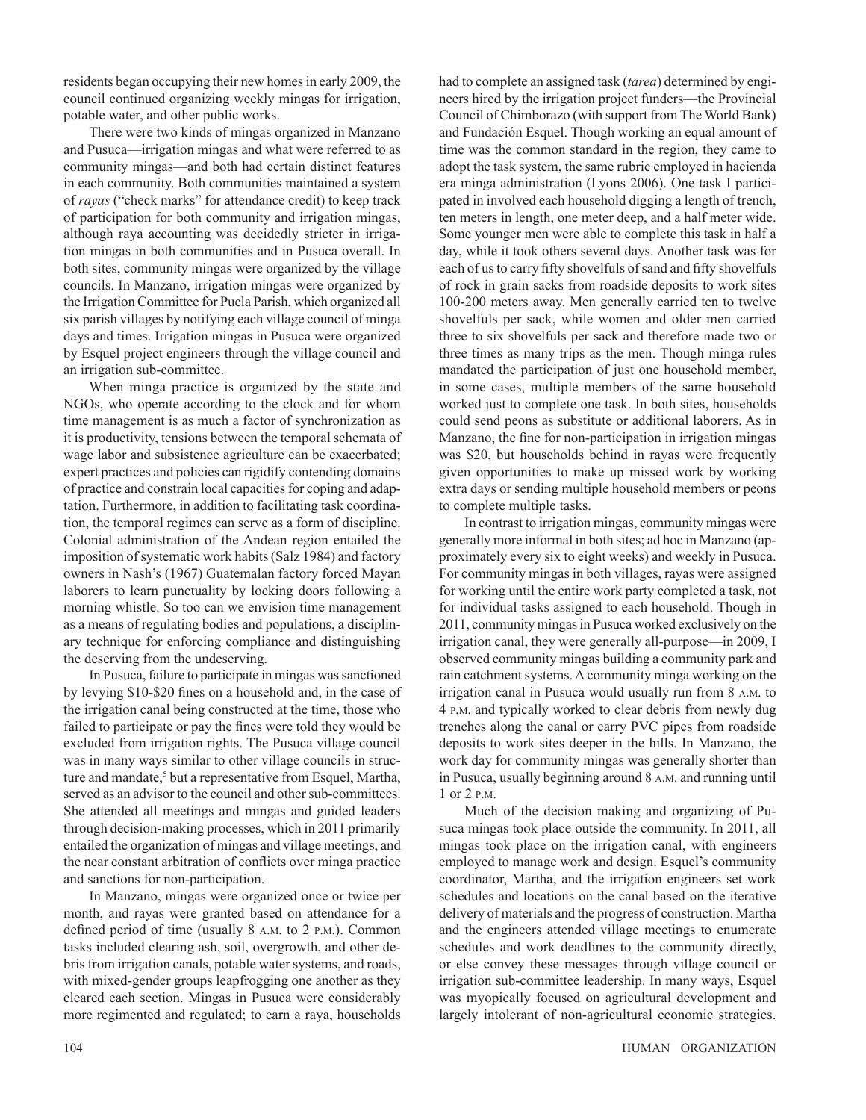residents began occupying their new homes in early 2009, the council continued organizing weekly mingas for irrigation, potable water, and other public works.

There were two kinds of mingas organized in Manzano and Pusuca—irrigation mingas and what were referred to as community mingas—and both had certain distinct features in each community. Both communities maintained a system of *rayas* ("check marks" for attendance credit) to keep track of participation for both community and irrigation mingas, although raya accounting was decidedly stricter in irrigation mingas in both communities and in Pusuca overall. In both sites, community mingas were organized by the village councils. In Manzano, irrigation mingas were organized by the Irrigation Committee for Puela Parish, which organized all six parish villages by notifying each village council of minga days and times. Irrigation mingas in Pusuca were organized by Esquel project engineers through the village council and an irrigation sub-committee.

When minga practice is organized by the state and NGOs, who operate according to the clock and for whom time management is as much a factor of synchronization as it is productivity, tensions between the temporal schemata of wage labor and subsistence agriculture can be exacerbated; expert practices and policies can rigidify contending domains of practice and constrain local capacities for coping and adaptation. Furthermore, in addition to facilitating task coordination, the temporal regimes can serve as a form of discipline. Colonial administration of the Andean region entailed the imposition of systematic work habits (Salz 1984) and factory owners in Nash's (1967) Guatemalan factory forced Mayan laborers to learn punctuality by locking doors following a morning whistle. So too can we envision time management as a means of regulating bodies and populations, a disciplinary technique for enforcing compliance and distinguishing the deserving from the undeserving.

In Pusuca, failure to participate in mingas was sanctioned by levying \$10-\$20 fines on a household and, in the case of the irrigation canal being constructed at the time, those who failed to participate or pay the fines were told they would be excluded from irrigation rights. The Pusuca village council was in many ways similar to other village councils in structure and mandate,<sup>5</sup> but a representative from Esquel, Martha, served as an advisor to the council and other sub-committees. She attended all meetings and mingas and guided leaders through decision-making processes, which in 2011 primarily entailed the organization of mingas and village meetings, and the near constant arbitration of conflicts over minga practice and sanctions for non-participation.

In Manzano, mingas were organized once or twice per month, and rayas were granted based on attendance for a defined period of time (usually 8 a.m. to 2 p.m.). Common tasks included clearing ash, soil, overgrowth, and other debris from irrigation canals, potable water systems, and roads, with mixed-gender groups leapfrogging one another as they cleared each section. Mingas in Pusuca were considerably more regimented and regulated; to earn a raya, households

had to complete an assigned task (*tarea*) determined by engineers hired by the irrigation project funders—the Provincial Council of Chimborazo (with support from The World Bank) and Fundación Esquel. Though working an equal amount of time was the common standard in the region, they came to adopt the task system, the same rubric employed in hacienda era minga administration (Lyons 2006). One task I participated in involved each household digging a length of trench, ten meters in length, one meter deep, and a half meter wide. Some younger men were able to complete this task in half a day, while it took others several days. Another task was for each of us to carry fifty shovelfuls of sand and fifty shovelfuls of rock in grain sacks from roadside deposits to work sites 100-200 meters away. Men generally carried ten to twelve shovelfuls per sack, while women and older men carried three to six shovelfuls per sack and therefore made two or three times as many trips as the men. Though minga rules mandated the participation of just one household member, in some cases, multiple members of the same household worked just to complete one task. In both sites, households could send peons as substitute or additional laborers. As in Manzano, the fine for non-participation in irrigation mingas was \$20, but households behind in rayas were frequently given opportunities to make up missed work by working extra days or sending multiple household members or peons to complete multiple tasks.

In contrast to irrigation mingas, community mingas were generally more informal in both sites; ad hoc in Manzano (approximately every six to eight weeks) and weekly in Pusuca. For community mingas in both villages, rayas were assigned for working until the entire work party completed a task, not for individual tasks assigned to each household. Though in 2011, community mingas in Pusuca worked exclusively on the irrigation canal, they were generally all-purpose—in 2009, I observed community mingas building a community park and rain catchment systems. A community minga working on the irrigation canal in Pusuca would usually run from 8 a.m. to 4 p.m. and typically worked to clear debris from newly dug trenches along the canal or carry PVC pipes from roadside deposits to work sites deeper in the hills. In Manzano, the work day for community mingas was generally shorter than in Pusuca, usually beginning around 8 a.m. and running until 1 or 2 p.m.

Much of the decision making and organizing of Pusuca mingas took place outside the community. In 2011, all mingas took place on the irrigation canal, with engineers employed to manage work and design. Esquel's community coordinator, Martha, and the irrigation engineers set work schedules and locations on the canal based on the iterative delivery of materials and the progress of construction. Martha and the engineers attended village meetings to enumerate schedules and work deadlines to the community directly, or else convey these messages through village council or irrigation sub-committee leadership. In many ways, Esquel was myopically focused on agricultural development and largely intolerant of non-agricultural economic strategies.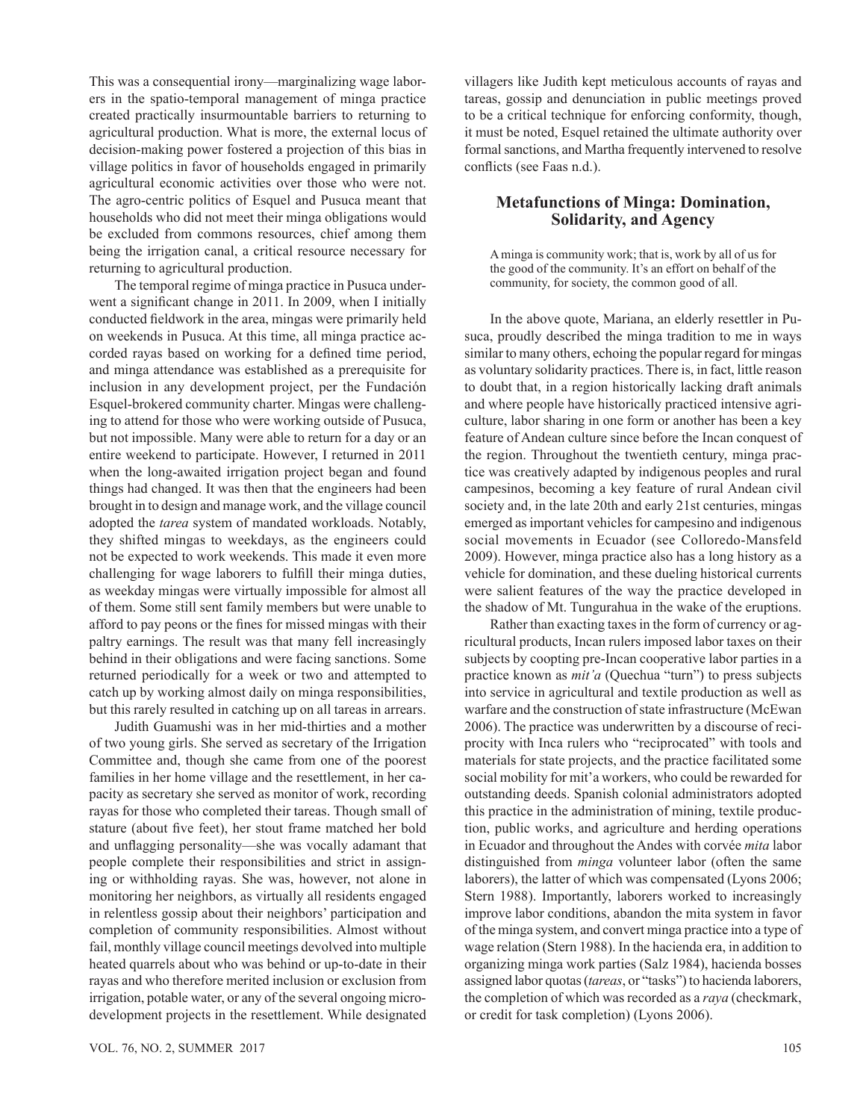This was a consequential irony—marginalizing wage laborers in the spatio-temporal management of minga practice created practically insurmountable barriers to returning to agricultural production. What is more, the external locus of decision-making power fostered a projection of this bias in village politics in favor of households engaged in primarily agricultural economic activities over those who were not. The agro-centric politics of Esquel and Pusuca meant that households who did not meet their minga obligations would be excluded from commons resources, chief among them being the irrigation canal, a critical resource necessary for returning to agricultural production.

The temporal regime of minga practice in Pusuca underwent a significant change in 2011. In 2009, when I initially conducted fieldwork in the area, mingas were primarily held on weekends in Pusuca. At this time, all minga practice accorded rayas based on working for a defined time period, and minga attendance was established as a prerequisite for inclusion in any development project, per the Fundación Esquel-brokered community charter. Mingas were challenging to attend for those who were working outside of Pusuca, but not impossible. Many were able to return for a day or an entire weekend to participate. However, I returned in 2011 when the long-awaited irrigation project began and found things had changed. It was then that the engineers had been brought in to design and manage work, and the village council adopted the *tarea* system of mandated workloads. Notably, they shifted mingas to weekdays, as the engineers could not be expected to work weekends. This made it even more challenging for wage laborers to fulfill their minga duties, as weekday mingas were virtually impossible for almost all of them. Some still sent family members but were unable to afford to pay peons or the fines for missed mingas with their paltry earnings. The result was that many fell increasingly behind in their obligations and were facing sanctions. Some returned periodically for a week or two and attempted to catch up by working almost daily on minga responsibilities, but this rarely resulted in catching up on all tareas in arrears.

Judith Guamushi was in her mid-thirties and a mother of two young girls. She served as secretary of the Irrigation Committee and, though she came from one of the poorest families in her home village and the resettlement, in her capacity as secretary she served as monitor of work, recording rayas for those who completed their tareas. Though small of stature (about five feet), her stout frame matched her bold and unflagging personality—she was vocally adamant that people complete their responsibilities and strict in assigning or withholding rayas. She was, however, not alone in monitoring her neighbors, as virtually all residents engaged in relentless gossip about their neighbors' participation and completion of community responsibilities. Almost without fail, monthly village council meetings devolved into multiple heated quarrels about who was behind or up-to-date in their rayas and who therefore merited inclusion or exclusion from irrigation, potable water, or any of the several ongoing microdevelopment projects in the resettlement. While designated villagers like Judith kept meticulous accounts of rayas and tareas, gossip and denunciation in public meetings proved to be a critical technique for enforcing conformity, though, it must be noted, Esquel retained the ultimate authority over formal sanctions, and Martha frequently intervened to resolve conflicts (see Faas n.d.).

## **Metafunctions of Minga: Domination, Solidarity, and Agency**

A minga is community work; that is, work by all of us for the good of the community. It's an effort on behalf of the community, for society, the common good of all.

In the above quote, Mariana, an elderly resettler in Pusuca, proudly described the minga tradition to me in ways similar to many others, echoing the popular regard for mingas as voluntary solidarity practices. There is, in fact, little reason to doubt that, in a region historically lacking draft animals and where people have historically practiced intensive agriculture, labor sharing in one form or another has been a key feature of Andean culture since before the Incan conquest of the region. Throughout the twentieth century, minga practice was creatively adapted by indigenous peoples and rural campesinos, becoming a key feature of rural Andean civil society and, in the late 20th and early 21st centuries, mingas emerged as important vehicles for campesino and indigenous social movements in Ecuador (see Colloredo-Mansfeld 2009). However, minga practice also has a long history as a vehicle for domination, and these dueling historical currents were salient features of the way the practice developed in the shadow of Mt. Tungurahua in the wake of the eruptions.

Rather than exacting taxes in the form of currency or agricultural products, Incan rulers imposed labor taxes on their subjects by coopting pre-Incan cooperative labor parties in a practice known as *mit'a* (Quechua "turn") to press subjects into service in agricultural and textile production as well as warfare and the construction of state infrastructure (McEwan 2006). The practice was underwritten by a discourse of reciprocity with Inca rulers who "reciprocated" with tools and materials for state projects, and the practice facilitated some social mobility for mit'a workers, who could be rewarded for outstanding deeds. Spanish colonial administrators adopted this practice in the administration of mining, textile production, public works, and agriculture and herding operations in Ecuador and throughout the Andes with corvée *mita* labor distinguished from *minga* volunteer labor (often the same laborers), the latter of which was compensated (Lyons 2006; Stern 1988). Importantly, laborers worked to increasingly improve labor conditions, abandon the mita system in favor of the minga system, and convert minga practice into a type of wage relation (Stern 1988). In the hacienda era, in addition to organizing minga work parties (Salz 1984), hacienda bosses assigned labor quotas (*tareas*, or "tasks") to hacienda laborers, the completion of which was recorded as a *raya* (checkmark, or credit for task completion) (Lyons 2006).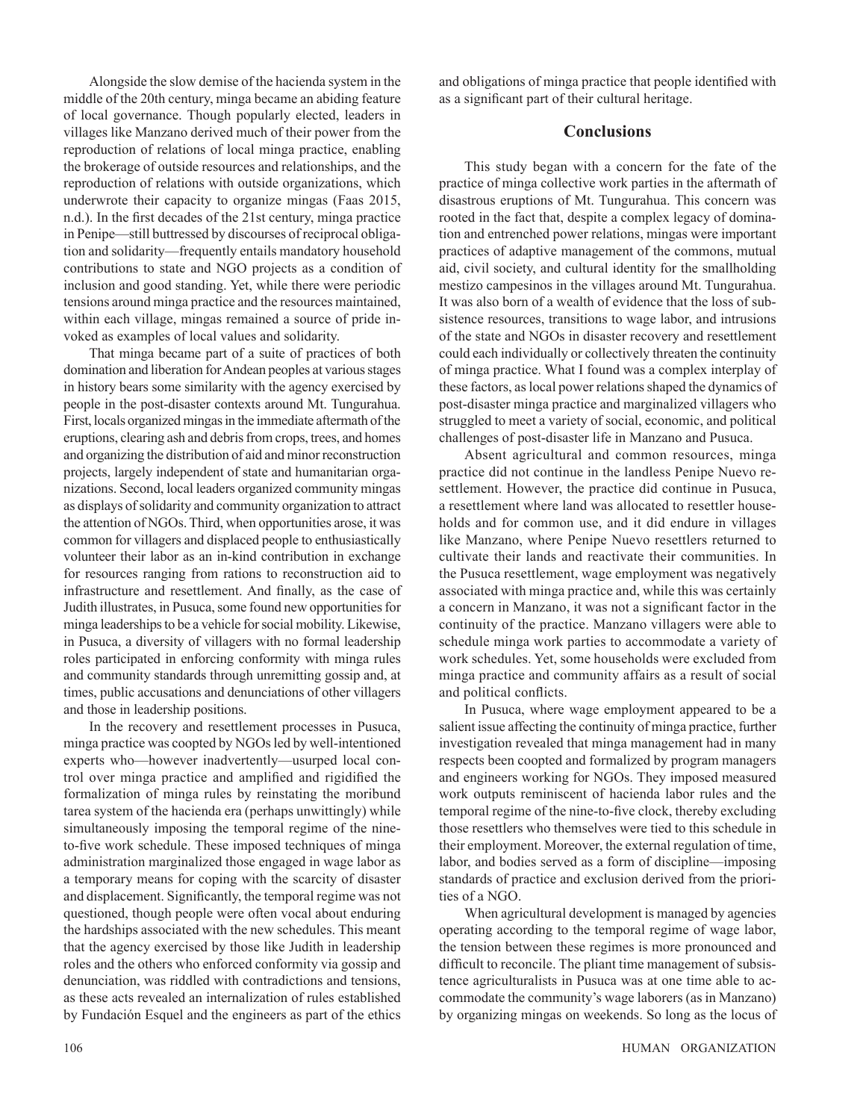Alongside the slow demise of the hacienda system in the middle of the 20th century, minga became an abiding feature of local governance. Though popularly elected, leaders in villages like Manzano derived much of their power from the reproduction of relations of local minga practice, enabling the brokerage of outside resources and relationships, and the reproduction of relations with outside organizations, which underwrote their capacity to organize mingas (Faas 2015, n.d.). In the first decades of the 21st century, minga practice in Penipe—still buttressed by discourses of reciprocal obligation and solidarity—frequently entails mandatory household contributions to state and NGO projects as a condition of inclusion and good standing. Yet, while there were periodic tensions around minga practice and the resources maintained, within each village, mingas remained a source of pride invoked as examples of local values and solidarity.

That minga became part of a suite of practices of both domination and liberation for Andean peoples at various stages in history bears some similarity with the agency exercised by people in the post-disaster contexts around Mt. Tungurahua. First, locals organized mingas in the immediate aftermath of the eruptions, clearing ash and debris from crops, trees, and homes and organizing the distribution of aid and minor reconstruction projects, largely independent of state and humanitarian organizations. Second, local leaders organized community mingas as displays of solidarity and community organization to attract the attention of NGOs. Third, when opportunities arose, it was common for villagers and displaced people to enthusiastically volunteer their labor as an in-kind contribution in exchange for resources ranging from rations to reconstruction aid to infrastructure and resettlement. And finally, as the case of Judith illustrates, in Pusuca, some found new opportunities for minga leaderships to be a vehicle for social mobility. Likewise, in Pusuca, a diversity of villagers with no formal leadership roles participated in enforcing conformity with minga rules and community standards through unremitting gossip and, at times, public accusations and denunciations of other villagers and those in leadership positions.

In the recovery and resettlement processes in Pusuca, minga practice was coopted by NGOs led by well-intentioned experts who—however inadvertently—usurped local control over minga practice and amplified and rigidified the formalization of minga rules by reinstating the moribund tarea system of the hacienda era (perhaps unwittingly) while simultaneously imposing the temporal regime of the nineto-five work schedule. These imposed techniques of minga administration marginalized those engaged in wage labor as a temporary means for coping with the scarcity of disaster and displacement. Significantly, the temporal regime was not questioned, though people were often vocal about enduring the hardships associated with the new schedules. This meant that the agency exercised by those like Judith in leadership roles and the others who enforced conformity via gossip and denunciation, was riddled with contradictions and tensions, as these acts revealed an internalization of rules established by Fundación Esquel and the engineers as part of the ethics

and obligations of minga practice that people identified with as a significant part of their cultural heritage.

## **Conclusions**

This study began with a concern for the fate of the practice of minga collective work parties in the aftermath of disastrous eruptions of Mt. Tungurahua. This concern was rooted in the fact that, despite a complex legacy of domination and entrenched power relations, mingas were important practices of adaptive management of the commons, mutual aid, civil society, and cultural identity for the smallholding mestizo campesinos in the villages around Mt. Tungurahua. It was also born of a wealth of evidence that the loss of subsistence resources, transitions to wage labor, and intrusions of the state and NGOs in disaster recovery and resettlement could each individually or collectively threaten the continuity of minga practice. What I found was a complex interplay of these factors, as local power relations shaped the dynamics of post-disaster minga practice and marginalized villagers who struggled to meet a variety of social, economic, and political challenges of post-disaster life in Manzano and Pusuca.

Absent agricultural and common resources, minga practice did not continue in the landless Penipe Nuevo resettlement. However, the practice did continue in Pusuca, a resettlement where land was allocated to resettler households and for common use, and it did endure in villages like Manzano, where Penipe Nuevo resettlers returned to cultivate their lands and reactivate their communities. In the Pusuca resettlement, wage employment was negatively associated with minga practice and, while this was certainly a concern in Manzano, it was not a significant factor in the continuity of the practice. Manzano villagers were able to schedule minga work parties to accommodate a variety of work schedules. Yet, some households were excluded from minga practice and community affairs as a result of social and political conflicts.

In Pusuca, where wage employment appeared to be a salient issue affecting the continuity of minga practice, further investigation revealed that minga management had in many respects been coopted and formalized by program managers and engineers working for NGOs. They imposed measured work outputs reminiscent of hacienda labor rules and the temporal regime of the nine-to-five clock, thereby excluding those resettlers who themselves were tied to this schedule in their employment. Moreover, the external regulation of time, labor, and bodies served as a form of discipline—imposing standards of practice and exclusion derived from the priorities of a NGO.

When agricultural development is managed by agencies operating according to the temporal regime of wage labor, the tension between these regimes is more pronounced and difficult to reconcile. The pliant time management of subsistence agriculturalists in Pusuca was at one time able to accommodate the community's wage laborers (as in Manzano) by organizing mingas on weekends. So long as the locus of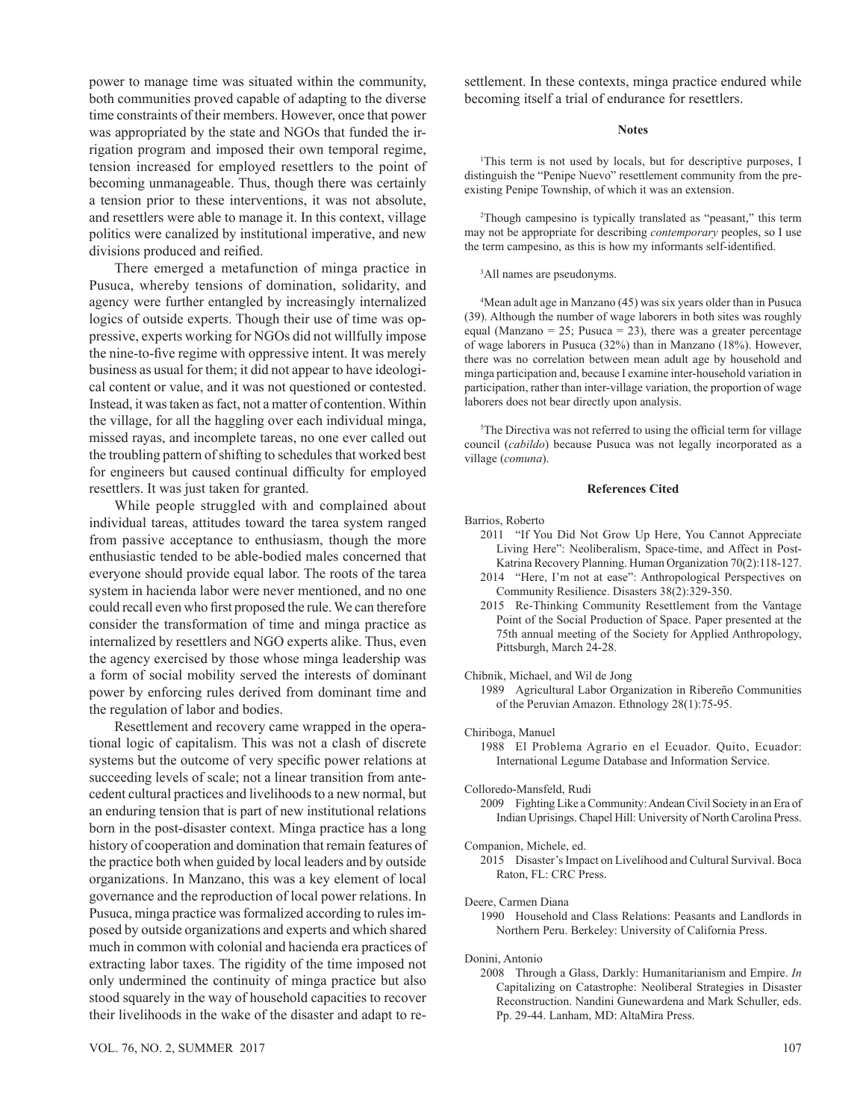power to manage time was situated within the community, both communities proved capable of adapting to the diverse time constraints of their members. However, once that power was appropriated by the state and NGOs that funded the irrigation program and imposed their own temporal regime, tension increased for employed resettlers to the point of becoming unmanageable. Thus, though there was certainly a tension prior to these interventions, it was not absolute, and resettlers were able to manage it. In this context, village politics were canalized by institutional imperative, and new divisions produced and reified.

There emerged a metafunction of minga practice in Pusuca, whereby tensions of domination, solidarity, and agency were further entangled by increasingly internalized logics of outside experts. Though their use of time was oppressive, experts working for NGOs did not willfully impose the nine-to-five regime with oppressive intent. It was merely business as usual for them; it did not appear to have ideological content or value, and it was not questioned or contested. Instead, it was taken as fact, not a matter of contention. Within the village, for all the haggling over each individual minga, missed rayas, and incomplete tareas, no one ever called out the troubling pattern of shifting to schedules that worked best for engineers but caused continual difficulty for employed resettlers. It was just taken for granted.

While people struggled with and complained about individual tareas, attitudes toward the tarea system ranged from passive acceptance to enthusiasm, though the more enthusiastic tended to be able-bodied males concerned that everyone should provide equal labor. The roots of the tarea system in hacienda labor were never mentioned, and no one could recall even who first proposed the rule. We can therefore consider the transformation of time and minga practice as internalized by resettlers and NGO experts alike. Thus, even the agency exercised by those whose minga leadership was a form of social mobility served the interests of dominant power by enforcing rules derived from dominant time and the regulation of labor and bodies.

Resettlement and recovery came wrapped in the operational logic of capitalism. This was not a clash of discrete systems but the outcome of very specific power relations at succeeding levels of scale; not a linear transition from antecedent cultural practices and livelihoods to a new normal, but an enduring tension that is part of new institutional relations born in the post-disaster context. Minga practice has a long history of cooperation and domination that remain features of the practice both when guided by local leaders and by outside organizations. In Manzano, this was a key element of local governance and the reproduction of local power relations. In Pusuca, minga practice was formalized according to rules imposed by outside organizations and experts and which shared much in common with colonial and hacienda era practices of extracting labor taxes. The rigidity of the time imposed not only undermined the continuity of minga practice but also stood squarely in the way of household capacities to recover their livelihoods in the wake of the disaster and adapt to resettlement. In these contexts, minga practice endured while becoming itself a trial of endurance for resettlers.

### **Notes**

1 This term is not used by locals, but for descriptive purposes, I distinguish the "Penipe Nuevo" resettlement community from the preexisting Penipe Township, of which it was an extension.

2 Though campesino is typically translated as "peasant," this term may not be appropriate for describing *contemporary* peoples, so I use the term campesino, as this is how my informants self-identified.

#### 3 All names are pseudonyms.

4 Mean adult age in Manzano (45) was six years older than in Pusuca (39). Although the number of wage laborers in both sites was roughly equal (Manzano = 25; Pusuca = 23), there was a greater percentage of wage laborers in Pusuca (32%) than in Manzano (18%). However, there was no correlation between mean adult age by household and minga participation and, because I examine inter-household variation in participation, rather than inter-village variation, the proportion of wage laborers does not bear directly upon analysis.

5 The Directiva was not referred to using the official term for village council (*cabildo*) because Pusuca was not legally incorporated as a village (*comuna*).

#### **References Cited**

#### Barrios, Roberto

- 2011 "If You Did Not Grow Up Here, You Cannot Appreciate Living Here": Neoliberalism, Space-time, and Affect in Post-Katrina Recovery Planning. Human Organization 70(2):118-127. 2014 "Here, I'm not at ease": Anthropological Perspectives on
- Community Resilience. Disasters 38(2):329-350.
- 2015 Re-Thinking Community Resettlement from the Vantage Point of the Social Production of Space. Paper presented at the 75th annual meeting of the Society for Applied Anthropology, Pittsburgh, March 24-28.
- Chibnik, Michael, and Wil de Jong
	- 1989 Agricultural Labor Organization in Ribereño Communities of the Peruvian Amazon. Ethnology 28(1):75-95.

#### Chiriboga, Manuel

- 1988 El Problema Agrario en el Ecuador. Quito, Ecuador: International Legume Database and Information Service.
- Colloredo-Mansfeld, Rudi
	- 2009 Fighting Like a Community: Andean Civil Society in an Era of Indian Uprisings. Chapel Hill: University of North Carolina Press.

#### Companion, Michele, ed.

- 2015 Disaster's Impact on Livelihood and Cultural Survival. Boca Raton, FL: CRC Press.
- Deere, Carmen Diana
	- 1990 Household and Class Relations: Peasants and Landlords in Northern Peru. Berkeley: University of California Press.
- Donini, Antonio
	- 2008 Through a Glass, Darkly: Humanitarianism and Empire. *In*  Capitalizing on Catastrophe: Neoliberal Strategies in Disaster Reconstruction. Nandini Gunewardena and Mark Schuller, eds. Pp. 29-44. Lanham, MD: AltaMira Press.